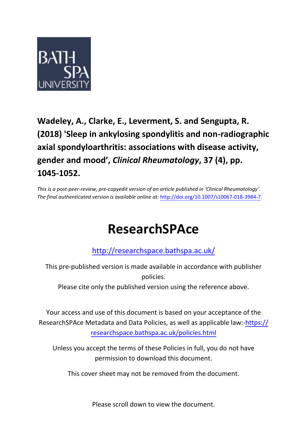

### **Wadeley, A., Clarke, E., Leverment, S. and Sengupta, R. (2018) 'Sleep in ankylosing spondylitis and non-radiographic axial spondyloarthritis: associations with disease activity, gender and mood' ,** *Clinical Rheumatology***, 37 (4), pp. 1045-1052.**

*This is a post-peer-review, pre-copyedit version of an article published in 'Clinical Rheumatology'*. *The final authenticated version is available online at:* [http://doi.org/10.1007/s10067-018-398](http://doi.org/10.1007/s10067-018-3984-7)4-7.

## **ResearchSPAce**

<http://researchspace.bathspa.ac.uk/>

This pre-published version is made available in accordance with publisher policies.

Please cite only the published version using the reference above.

Your access and use of this document is based on your acceptance of the ResearchSPAce Metadata and Data Policies, as well as applicable law:-https:// researchspace.bathspa.ac.uk/policies.html

Unless you accept the terms of these Policies in full, you do not have permission to download this document.

This cover sheet may not be removed from the document.

Please scroll down to view the document.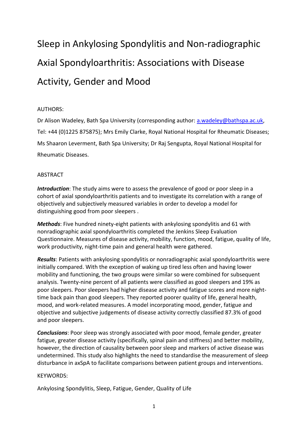# Sleep in Ankylosing Spondylitis and Non-radiographic Axial Spondyloarthritis: Associations with Disease Activity, Gender and Mood

#### AUTHORS:

Dr Alison Wadeley, Bath Spa University (corresponding author: [a.wadeley@bathspa.ac.uk,](mailto:a.wadeley@bathspa.ac.uk) Tel: +44 (0)1225 875875); Mrs Emily Clarke, Royal National Hospital for Rheumatic Diseases; Ms Shaaron Leverment, Bath Spa University; Dr Raj Sengupta, Royal National Hospital for Rheumatic Diseases.

#### ABSTRACT

*Introduction*: The study aims were to assess the prevalence of good or poor sleep in a cohort of axial spondyloarthritis patients and to investigate its correlation with a range of objectively and subjectively measured variables in order to develop a model for distinguishing good from poor sleepers .

*Methods*: Five hundred ninety-eight patients with ankylosing spondylitis and 61 with nonradiographic axial spondyloarthritis completed the Jenkins Sleep Evaluation Questionnaire. Measures of disease activity, mobility, function, mood, fatigue, quality of life, work productivity, night-time pain and general health were gathered.

*Results*: Patients with ankylosing spondylitis or nonradiographic axial spondyloarthritis were initially compared. With the exception of waking up tired less often and having lower mobility and functioning, the two groups were similar so were combined for subsequent analysis. Twenty-nine percent of all patients were classified as good sleepers and 19% as poor sleepers. Poor sleepers had higher disease activity and fatigue scores and more nighttime back pain than good sleepers. They reported poorer quality of life, general health, mood, and work-related measures. A model incorporating mood, gender, fatigue and objective and subjective judgements of disease activity correctly classified 87.3% of good and poor sleepers.

*Conclusions*: Poor sleep was strongly associated with poor mood, female gender, greater fatigue, greater disease activity (specifically, spinal pain and stiffness) and better mobility, however, the direction of causality between poor sleep and markers of active disease was undetermined. This study also highlights the need to standardise the measurement of sleep disturbance in axSpA to facilitate comparisons between patient groups and interventions.

#### KEYWORDS:

Ankylosing Spondylitis, Sleep, Fatigue, Gender, Quality of Life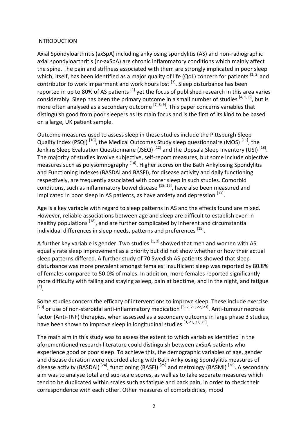#### INTRODUCTION

Axial Spondyloarthritis (axSpA) including ankylosing spondylitis (AS) and non-radiographic axial spondyloarthritis (nr-axSpA) are chronic inflammatory conditions which mainly affect the spine. The pain and stiffness associated with them are strongly implicated in poor sleep which, itself, has been identified as a major quality of life (QoL) concern for patients <sup>[1, 2]</sup> and contributor to work impairment and work hours lost <sup>[3]</sup>. Sleep disturbance has been reported in up to 80% of AS patients <sup>[4]</sup> yet the focus of published research in this area varies considerably. Sleep has been the primary outcome in a small number of studies <sup>[4, 5, 6]</sup>, but is more often analysed as a secondary outcome  $^{[7, 8, 9]}$ . This paper concerns variables that distinguish good from poor sleepers as its main focus and is the first of its kind to be based on a large, UK patient sample.

Outcome measures used to assess sleep in these studies include the Pittsburgh Sleep Quality Index (PSQI)<sup>[10]</sup>, the Medical Outcomes Study sleep questionnaire (MOS)<sup>[11]</sup>, the Jenkins Sleep Evaluation Questionnaire (JSEQ)  $^{[12]}$  and the Uppsala Sleep Inventory (USI)  $^{[13]}$ . The majority of studies involve subjective, self-report measures, but some include objective measures such as polysomnography <sup>[14]</sup>. Higher scores on the Bath Ankylosing Spondylitis and Functioning Indexes (BASDAI and BASFI), for disease activity and daily functioning respectively, are frequently associated with poorer sleep in such studies. Comorbid conditions, such as inflammatory bowel disease <sup>[15, 16]</sup>, have also been measured and implicated in poor sleep in AS patients, as have anxiety and depression <sup>[17]</sup>.

Age is a key variable with regard to sleep patterns in AS and the effects found are mixed. However, reliable associations between age and sleep are difficult to establish even in healthy populations <sup>[18]</sup>, and are further complicated by inherent and circumstantial individual differences in sleep needs, patterns and preferences [19].

A further key variable is gender. Two studies  $[1, 2]$  showed that men and women with AS equally rate sleep improvement as a priority but did not show whether or how their actual sleep patterns differed. A further study of 70 Swedish AS patients showed that sleep disturbance was more prevalent amongst females: insufficient sleep was reported by 80.8% of females compared to 50.0% of males. In addition, more females reported significantly more difficulty with falling and staying asleep, pain at bedtime, and in the night, and fatigue [4] .

Some studies concern the efficacy of interventions to improve sleep. These include exercise  $^{[20]}$  or use of non-steroidal anti-inflammatory medication  $^{[3, 7, 21, 22, 23]}$ . Anti-tumour necrosis factor (Anti-TNF) therapies, when assessed as a secondary outcome in large phase 3 studies, have been shown to improve sleep in longitudinal studies <sup>[3, 21, 22, 23]</sup>.

The main aim in this study was to assess the extent to which variables identified in the aforementioned research literature could distinguish between axSpA patients who experience good or poor sleep. To achieve this, the demographic variables of age, gender and disease duration were recorded along with Bath Ankylosing Spondylitis measures of disease activity (BASDAI)<sup>[24]</sup>, functioning (BASFI)<sup>[25]</sup> and metrology (BASMI)<sup>[26]</sup>. A secondary aim was to analyse total and sub-scale scores, as well as to take separate measures which tend to be duplicated within scales such as fatigue and back pain, in order to check their correspondence with each other. Other measures of comorbidities, mood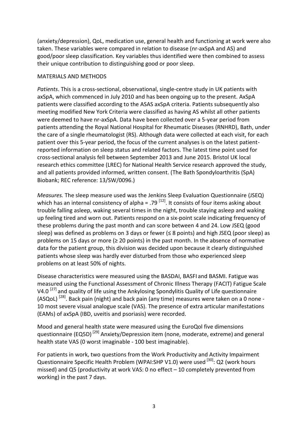(anxiety/depression), QoL, medication use, general health and functioning at work were also taken. These variables were compared in relation to disease (nr-axSpA and AS) and good/poor sleep classification. Key variables thus identified were then combined to assess their unique contribution to distinguishing good or poor sleep.

#### MATERIALS AND METHODS

*Patients*. This is a cross-sectional, observational, single-centre study in UK patients with axSpA, which commenced in July 2010 and has been ongoing up to the present. AxSpA patients were classified according to the ASAS axSpA criteria. Patients subsequently also meeting modified New York Criteria were classified as having AS whilst all other patients were deemed to have nr-axSpA. Data have been collected over a 5-year period from patients attending the Royal National Hospital for Rheumatic Diseases (RNHRD), Bath, under the care of a single rheumatologist (RS). Although data were collected at each visit, for each patient over this 5-year period, the focus of the current analyses is on the latest patientreported information on sleep status and related factors. The latest time point used for cross-sectional analysis fell between September 2013 and June 2015. Bristol UK local research ethics committee (LREC) for National Health Service research approved the study, and all patients provided informed, written consent. (The Bath Spondyloarthritis (SpA) Biobank; REC reference: 13/SW/0096.)

*Measures.* The sleep measure used was the Jenkins Sleep Evaluation Questionnaire (JSEQ) which has an internal consistency of alpha = .79  $^{[12]}$ . It consists of four items asking about trouble falling asleep, waking several times in the night, trouble staying asleep and waking up feeling tired and worn out. Patients respond on a six-point scale indicating frequency of these problems during the past month and can score between 4 and 24. Low JSEQ (good sleep) was defined as problems on 3 days or fewer ( $\leq$  8 points) and high JSEQ (poor sleep) as problems on 15 days or more ( $\geq$  20 points) in the past month. In the absence of normative data for the patient group, this division was decided upon because it clearly distinguished patients whose sleep was hardly ever disturbed from those who experienced sleep problems on at least 50% of nights.

Disease characteristics were measured using the BASDAI, BASFI and BASMI. Fatigue was measured using the Functional Assessment of Chronic Illness Therapy (FACIT) Fatigue Scale V4.0<sup>[27]</sup> and quality of life using the Ankylosing Spondylitis Quality of Life questionnaire (ASQoL)<sup>[28]</sup>. Back pain (night) and back pain (any time) measures were taken on a 0 none -10 most severe visual analogue scale (VAS). The presence of extra articular manifestations (EAMs) of axSpA (IBD, uveitis and psoriasis) were recorded.

Mood and general health state were measured using the EuroQol five dimensions questionnaire (EQ5D)<sup>[29]</sup> Anxiety/Depression item (none, moderate, extreme) and general health state VAS (0 worst imaginable - 100 best imaginable).

For patients in work, two questions from the Work Productivity and Activity Impairment Questionnaire Specific Health Problem (WPAI:SHP V1.0) were used <sup>[30]</sup>: Q2 (work hours missed) and Q5 (productivity at work VAS: 0 no effect – 10 completely prevented from working) in the past 7 days.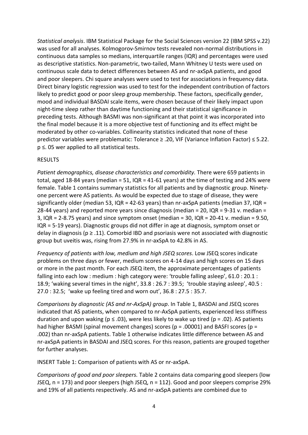*Statistical analysis*. IBM Statistical Package for the Social Sciences version 22 (IBM SPSS v.22) was used for all analyses. Kolmogorov-Smirnov tests revealed non-normal distributions in continuous data samples so medians, interquartile ranges (IQR) and percentages were used as descriptive statistics. Non-parametric, two-tailed, Mann Whitney U tests were used on continuous scale data to detect differences between AS and nr-axSpA patients, and good and poor sleepers. Chi square analyses were used to test for associations in frequency data. Direct binary logistic regression was used to test for the independent contribution of factors likely to predict good or poor sleep group membership. These factors, specifically gender, mood and individual BASDAI scale items, were chosen because of their likely impact upon night-time sleep rather than daytime functioning and their statistical significance in preceding tests. Although BASMI was non-significant at that point it was incorporated into the final model because it is a more objective test of functioning and its effect might be moderated by other co-variables. Collinearity statistics indicated that none of these predictor variables were problematic: Tolerance ≥ .20, VIF (Variance Inflation Factor) ≤ 5.22. p ≤. 05 wer applied to all statistical tests.

#### RESULTS

*Patient demographics, disease characteristics and comorbidity.* There were 659 patients in total, aged 18-84 years (median = 51, IQR = 41-61 years) at the time of testing and 24% were female. Table 1 contains summary statistics for all patients and by diagnostic group. Ninetyone percent were AS patients. As would be expected due to stage of disease, they were significantly older (median 53, IQR = 42-63 years) than  $nr\text{-}axSpA$  patients (median 37, IQR = 28-44 years) and reported more years since diagnosis (median = 20, IQR = 9-31 v. median = 3,  $IQR = 2-8.75$  years) and since symptom onset (median = 30,  $IQR = 20-41$  v. median = 9.50, IQR = 5-19 years). Diagnostic groups did not differ in age at diagnosis, symptom onset or delay in diagnosis ( $p \ge 0.11$ ). Comorbid IBD and psoriasis were not associated with diagnostic group but uveitis was, rising from 27.9% in nr-axSpA to 42.8% in AS.

*Frequency of patients with low, medium and high JSEQ scores*. Low JSEQ scores indicate problems on three days or fewer, medium scores on 4-14 days and high scores on 15 days or more in the past month. For each JSEQ item, the approximate percentages of patients falling into each low : medium : high category were: 'trouble falling asleep', 61.0 : 20.1 : 18.9; 'waking several times in the night', 33.8 : 26.7 : 39.5; 'trouble staying asleep', 40.5 : 27.0 : 32.5; 'wake up feeling tired and worn out', 36.8 : 27.5 : 35.7.

*Comparisons by diagnostic (AS and nr-AxSpA) group*. In Table 1, BASDAI and JSEQ scores indicated that AS patients, when compared to nr-AxSpA patients, experienced less stiffness duration and upon waking ( $p \le 0.03$ ), were less likely to wake up tired ( $p = 0.02$ ). AS patients had higher BASMI (spinal movement changes) scores ( $p = .00001$ ) and BASFI scores ( $p =$ .002) than nr-axSpA patients. Table 1 otherwise indicates little difference between AS and nr-axSpA patients in BASDAI and JSEQ scores. For this reason, patients are grouped together for further analyses.

INSERT Table 1: Comparison of patients with AS or nr-axSpA.

*Comparisons of good and poor sleepers.* Table 2 contains data comparing good sleepers (low JSEQ, n = 173) and poor sleepers (high JSEQ, n = 112). Good and poor sleepers comprise 29% and 19% of all patients respectively. AS and nr-axSpA patients are combined due to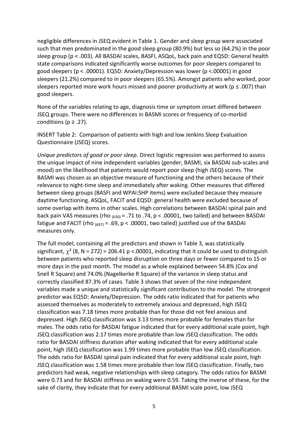negligible differences in JSEQ evident in Table 1. Gender and sleep group were associated such that men predominated in the good sleep group (80.9%) but less so (64.2%) in the poor sleep group (p < .003). All BASDAI scales, BASFI, ASQoL, back pain and EQ5D: General health state comparisons indicated significantly worse outcomes for poor sleepers compared to good sleepers (p < .00001). EQ5D: Anxiety/Depression was lower (p <.00001) in good sleepers (21.2%) compared to in poor sleepers (65.5%). Amongst patients who worked, poor sleepers reported more work hours missed and poorer productivity at work ( $p \le 0.007$ ) than good sleepers.

None of the variables relating to age, diagnosis time or symptom onset differed between JSEQ groups. There were no differences in BASMI scores or frequency of co-morbid conditions ( $p \geq .27$ ).

INSERT Table 2: Comparison of patients with high and low Jenkins Sleep Evaluation Questionnaire (JSEQ) scores.

*Unique predictors of good or poor sleep.* Direct logistic regression was performed to assess the unique impact of nine independent variables (gender, BASMI, six BASDAI sub-scales and mood) on the likelihood that patients would report poor sleep (high JSEQ) scores. The BASMI was chosen as an objective measure of functioning and the others because of their relevance to night-time sleep and immediately after waking. Other measures that differed between sleep groups (BASFI and WPAI:SHP items) were excluded because they measure daytime functioning. ASQoL, FACIT and EQ5D: general health were excluded because of some overlap with items in other scales. High correlations between BASDAI spinal pain and back pain VAS measures (rho  $_{(630)}$  = .71 to .74, p < .00001, two tailed) and between BASDAI fatigue and FACIT (rho  $(697) = .69$ , p < .00001, two tailed) justified use of the BASDAI measures only.

The full model, containing all the predictors and shown in Table 3, was statistically significant,  $\chi^2$  (8, N = 272) = 206.41 p <.00001, indicating that it could be used to distinguish between patients who reported sleep disruption on three days or fewer compared to 15 or more days in the past month. The model as a whole explained between 54.8% (Cox and Snell R Square) and 74.0% (Nagelkerke R Square) of the variance in sleep status and correctly classified 87.3% of cases. Table 3 shows that seven of the nine independent variables made a unique and statistically significant contribution to the model. The strongest predictor was EQ5D: Anxiety/Depression. The odds ratio indicated that for patients who assessed themselves as moderately to extremely anxious and depressed, high JSEQ classification was 7.18 times more probable than for those did not feel anxious and depressed. High JSEQ classification was 3.13 times more probable for females than for males. The odds ratio for BASDAI fatigue indicated that for every additional scale point, high JSEQ classification was 2.17 times more probable than low JSEQ classification. The odds ratio for BASDAI stiffness duration after waking indicated that for every additional scale point, high JSEQ classification was 1.99 times more probable than low JSEQ classification. The odds ratio for BASDAI spinal pain indicated that for every additional scale point, high JSEQ classification was 1.58 times more probable than low JSEQ classification. Finally, two predictors had weak, negative relationships with sleep category. The odds ratios for BASMI were 0.73 and for BASDAI stiffness on waking were 0.59. Taking the inverse of these, for the sake of clarity, they indicate that for every additional BASMI scale point, low JSEQ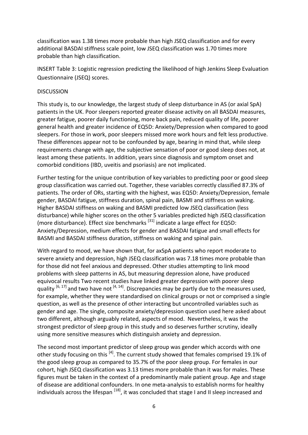classification was 1.38 times more probable than high JSEQ classification and for every additional BASDAI stiffness scale point, low JSEQ classification was 1.70 times more probable than high classification.

INSERT Table 3: Logistic regression predicting the likelihood of high Jenkins Sleep Evaluation Questionnaire (JSEQ) scores.

#### **DISCUSSION**

This study is, to our knowledge, the largest study of sleep disturbance in AS (or axial SpA) patients in the UK. Poor sleepers reported greater disease activity on all BASDAI measures, greater fatigue, poorer daily functioning, more back pain, reduced quality of life, poorer general health and greater incidence of EQ5D: Anxiety/Depression when compared to good sleepers. For those in work, poor sleepers missed more work hours and felt less productive. These differences appear not to be confounded by age, bearing in mind that, while sleep requirements change with age, the subjective sensation of poor or good sleep does not, at least among these patients. In addition, years since diagnosis and symptom onset and comorbid conditions (IBD, uveitis and psoriasis) are not implicated.

Further testing for the unique contribution of key variables to predicting poor or good sleep group classification was carried out. Together, these variables correctly classified 87.3% of patients. The order of ORs, starting with the highest, was EQ5D: Anxiety/Depression, female gender, BASDAI fatigue, stiffness duration, spinal pain, BASMI and stiffness on waking. Higher BASDAI stiffness on waking and BASMI predicted low JSEQ classification (less disturbance) while higher scores on the other 5 variables predicted high JSEQ classification (more disturbance). Effect size benchmarks  $^{[31]}$  indicate a large effect for EQ5D: Anxiety/Depression, medium effects for gender and BASDAI fatigue and small effects for BASMI and BASDAI stiffness duration, stiffness on waking and spinal pain.

With regard to mood, we have shown that, for axSpA patients who report moderate to severe anxiety and depression, high JSEQ classification was 7.18 times more probable than for those did not feel anxious and depressed. Other studies attempting to link mood problems with sleep patterns in AS, but measuring depression alone, have produced equivocal results Two recent studies have linked greater depression with poorer sleep quality  $^{[6, 17]}$  and two have not  $^{[4, 14]}$ . Discrepancies may be partly due to the measures used, for example, whether they were standardised on clinical groups or not or comprised a single question, as well as the presence of other interacting but uncontrolled variables such as gender and age. The single, composite anxiety/depression question used here asked about two different, although arguably related, aspects of mood. Nevertheless, it was the strongest predictor of sleep group in this study and so deserves further scrutiny, ideally using more sensitive measures which distinguish anxiety and depression.

The second most important predictor of sleep group was gender which accords with one other study focusing on this <sup>[4]</sup>. The current study showed that females comprised 19.1% of the good sleep group as compared to 35.7% of the poor sleep group. For females in our cohort, high JSEQ classification was 3.13 times more probable than it was for males. These figures must be taken in the context of a predominantly male patient group. Age and stage of disease are additional confounders. In one meta-analysis to establish norms for healthy individuals across the lifespan <sup>[18]</sup>, it was concluded that stage I and II sleep increased and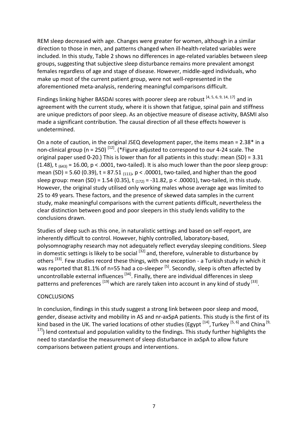REM sleep decreased with age. Changes were greater for women, although in a similar direction to those in men, and patterns changed when ill-health-related variables were included. In this study, Table 2 shows no differences in age-related variables between sleep groups, suggesting that subjective sleep disturbance remains more prevalent amongst females regardless of age and stage of disease. However, middle-aged individuals, who make up most of the current patient group, were not well-represented in the aforementioned meta-analysis, rendering meaningful comparisons difficult.

Findings linking higher BASDAI scores with poorer sleep are robust <sup>[4, 5, 6, 9, 14, 17]</sup> and in agreement with the current study, where it is shown that fatigue, spinal pain and stiffness are unique predictors of poor sleep. As an objective measure of disease activity, BASMI also made a significant contribution. The causal direction of all these effects however is undetermined.

On a note of caution, in the original JSEQ development paper, the items mean = 2.38\* in a non-clinical group (n = 250)<sup>[12]</sup>. (\*Figure adjusted to correspond to our 4-24 scale. The original paper used 0-20.) This is lower than for all patients in this study: mean (SD) = 3.31 (1.48),  $t_{(643)} = 16.00$ ,  $p < .0001$ , two-tailed). It is also much lower than the poor sleep group: mean (SD) = 5.60 (0.39), t = 87.51  $_{(111)}$ , p < .00001, two-tailed, and higher than the good sleep group: mean (SD) = 1.54 (0.35),  $t_{(172)} = -31.82$ ,  $p < .00001$ ), two-tailed, in this study. However, the original study utilised only working males whose average age was limited to 25 to 49 years. These factors, and the presence of skewed data samples in the current study, make meaningful comparisons with the current patients difficult, nevertheless the clear distinction between good and poor sleepers in this study lends validity to the conclusions drawn.

Studies of sleep such as this one, in naturalistic settings and based on self-report, are inherently difficult to control. However, highly controlled, laboratory-based, polysomnography research may not adequately reflect everyday sleeping conditions. Sleep in domestic settings is likely to be social  $^{[32]}$  and, therefore, vulnerable to disturbance by others <sup>[33]</sup>. Few studies record these things, with one exception - a Turkish study in which it was reported that 81.1% of n=55 had a co-sleeper <sup>[5]</sup>. Secondly, sleep is often affected by uncontrollable external influences <sup>[34]</sup>. Finally, there are individual differences in sleep patterns and preferences <sup>[19]</sup> which are rarely taken into account in any kind of study <sup>[33]</sup>.

#### **CONCLUSIONS**

In conclusion, findings in this study suggest a strong link between poor sleep and mood, gender, disease activity and mobility in AS and nr-axSpA patients. This study is the first of its kind based in the UK. The varied locations of other studies (Egypt <sup>[14]</sup>, Turkey <sup>[5, 6]</sup> and China <sup>[9,</sup>  $^{17}$ ) lend contextual and population validity to the findings. This study further highlights the need to standardise the measurement of sleep disturbance in axSpA to allow future comparisons between patient groups and interventions.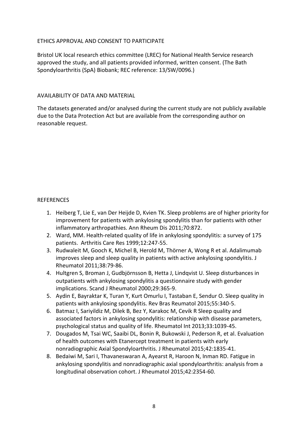#### ETHICS APPROVAL AND CONSENT TO PARTICIPATE

Bristol UK local research ethics committee (LREC) for National Health Service research approved the study, and all patients provided informed, written consent. (The Bath Spondyloarthritis (SpA) Biobank; REC reference: 13/SW/0096.)

#### AVAILABILITY OF DATA AND MATERIAL

The datasets generated and/or analysed during the current study are not publicly available due to the Data Protection Act but are available from the corresponding author on reasonable request.

#### REFERENCES

- 1. Heiberg T, Lie E, van Der Heijde D, Kvien TK. Sleep problems are of higher priority for improvement for patients with ankylosing spondylitis than for patients with other inflammatory arthropathies. Ann Rheum Dis 2011;70:872.
- 2. Ward, MM. Health-related quality of life in ankylosing spondylitis: a survey of 175 patients. Arthritis Care Res 1999;12:247-55.
- 3. Rudwaleit M, Gooch K, Michel B, Herold M, Thörner A, Wong R et al. Adalimumab improves sleep and sleep quality in patients with active ankylosing spondylitis. J Rheumatol 2011;38:79-86.
- 4. Hultgren S, Broman J, Gudbjörnsson B, Hetta J, Lindqvist U. Sleep disturbances in outpatients with ankylosing spondylitis a questionnaire study with gender implications. Scand J Rheumatol 2000;29:365-9.
- 5. Aydin E, Bayraktar K, Turan Y, Kurt Omurlu I, Tastaban E, Sendur O. Sleep quality in patients with ankylosing spondylitis. Rev Bras Reumatol 2015;55:340-5.
- 6. Batmaz I, Sariyildiz M, Dilek B, Bez Y, Karakoc M, Cevik R Sleep quality and associated factors in ankylosing spondylitis: relationship with disease parameters, psychological status and quality of life. Rheumatol Int 2013;33:1039-45.
- 7. Dougados M, Tsai WC, Saaibi DL, Bonin R, Bukowski J, Pederson R, et al. Evaluation of health outcomes with Etanercept treatment in patients with early nonradiographic Axial Spondyloarthritis. J Rheumatol 2015;42:1835-41.
- 8. Bedaiwi M, Sari I, Thavaneswaran A, Ayearst R, Haroon N, Inman RD. Fatigue in ankylosing spondylitis and nonradiographic axial spondyloarthritis: analysis from a longitudinal observation cohort. J Rheumatol 2015;42:2354-60.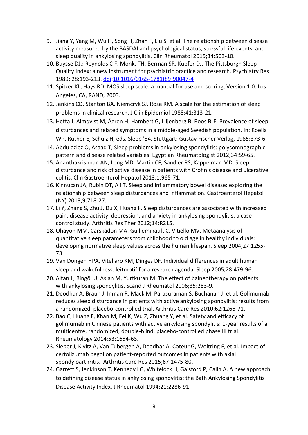- 9. Jiang Y, Yang M, Wu H, Song H, Zhan F, Liu S, et al. The relationship between disease activity measured by the BASDAI and psychological status, stressful life events, and sleep quality in ankylosing spondylitis. Clin Rheumatol 2015;34:503-10.
- 10. Buysse DJ.; Reynolds C F, Monk, TH, Berman SR, Kupfer DJ. The Pittsburgh Sleep Quality Index: a new instrument for psychiatric practice and research. Psychiatry Res 1989; 28:193-213. [doi](https://en.wikipedia.org/wiki/Digital_object_identifier)[:10.1016/0165-1781\(89\)90047-4](https://dx.doi.org/10.1016%2F0165-1781%2889%2990047-4)
- 11. Spitzer KL, Hays RD. MOS sleep scale: a manual for use and scoring, Version 1.0. Los Angeles, CA, RAND, 2003.
- 12. Jenkins CD, Stanton BA, Niemcryk SJ, Rose RM. A scale for the estimation of sleep problems in clinical research. J Clin Epidemiol 1988;41:313-21.
- 13. Hetta J, Almqvist M, Ågren H, Hambert G, Liljenberg B, Roos B-E. Prevalence of sleep disturbances and related symptoms in a middle-aged Swedish population. In: Koella WP, Ruther E, Schulz H, eds. Sleep '84. Stuttgart: Gustav Fischer Verlag, 1985:373-6.
- 14. Abdulaziez O, Asaad T, Sleep problems in ankylosing spondylitis: polysomnographic pattern and disease related variables. Egyptian Rheumatologist 2012;34:59-65.
- 15. Ananthakrishnan AN, Long MD, Martin CF, Sandler RS, Kappelman MD. Sleep disturbance and risk of active disease in patients with Crohn's disease and ulcerative colitis. Clin Gastroenterol Hepatol 2013;1:965-71.
- 16. Kinnucan JA, Rubin DT, Ali T. Sleep and inflammatory bowel disease: exploring the relationship between sleep disturbances and inflammation. Gastroenterol Hepatol (NY) 2013;9:718-27.
- 17. Li Y, Zhang S, Zhu J, Du X, Huang F. Sleep disturbances are associated with increased pain, disease activity, depression, and anxiety in ankylosing spondylitis: a case control study. Arthritis Res Ther 2012;14:R215.
- 18. Ohayon MM, Carskadon MA, Guilleminault C, Vitiello MV. Metaanalysis of quantitative sleep parameters from childhood to old age in healthy individuals: developing normative sleep values across the human lifespan. Sleep 2004;27:1255- 73.
- 19. Van Dongen HPA, Vitellaro KM, Dinges DF. Individual differences in adult human sleep and wakefulness: leitmotif for a research agenda. Sleep 2005;28:479-96.
- 20. Altan L, Bingöl U, Aslan M, Yurtkuran M. The effect of balneotherapy on patients with ankylosing spondylitis. Scand J Rheumatol 2006;35:283-9.
- 21. Deodhar A, Braun J, Inman R, Mack M, Parasuraman S, Buchanan J, et al. Golimumab reduces sleep disturbance in patients with active ankylosing spondylitis: results from a randomized, placebo-controlled trial. Arthritis Care Res 2010;62:1266-71.
- 22. Bao C, Huang F, Khan M, Fei K, Wu Z, Zhuang Y, et al. Safety and efficacy of golimumab in Chinese patients with active ankylosing spondylitis: 1-year results of a multicentre, randomized, double-blind, placebo-controlled phase III trial. Rheumatology 2014;53:1654-63.
- 23. Sieper J, Kivitz A, Van Tubergen A, Deodhar A, Coteur G, Woltring F, et al. Impact of certolizumab pegol on patient-reported outcomes in patients with axial spondyloarthritis. Arthritis Care Res 2015;67:1475-80.
- 24. Garrett S, Jenkinson T, Kennedy LG, Whitelock H, Gaisford P, Calin A. A new approach to defining disease status in ankylosing spondylitis: the Bath Ankylosing Spondylitis Disease Activity Index. J Rheumatol 1994;21:2286-91.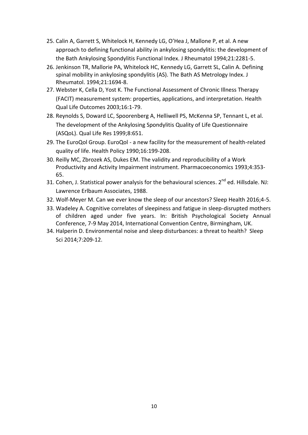- 25. Calin A, Garrett S, Whitelock H, Kennedy LG, O'Hea J, Mallone P, et al. A new approach to defining functional ability in ankylosing spondylitis: the development of the Bath Ankylosing Spondylitis Functional Index. J Rheumatol 1994;21:2281-5.
- 26. Jenkinson TR, Mallorie PA, Whitelock HC, Kennedy LG, Garrett SL, Calin A. Defining spinal mobility in ankylosing spondylitis (AS). The Bath AS Metrology Index. J Rheumatol. 1994;21:1694-8.
- 27. Webster K, Cella D, Yost K. The Functional Assessment of Chronic Illness Therapy (FACIT) measurement system: properties, applications, and interpretation. Health Qual Life Outcomes 2003;16:1-79.
- 28. Reynolds S, Doward LC, Spoorenberg A, Helliwell PS, McKenna SP, Tennant L, et al. The development of the Ankylosing Spondylitis Quality of Life Questionnaire (ASQoL). Qual Life Res 1999;8:651.
- 29. The EuroQol Group. EuroQol a new facility for the measurement of health-related quality of life. Health Policy 1990;16:199-208.
- 30. Reilly MC, Zbrozek AS, Dukes EM. The validity and reproducibility of a Work Productivity and Activity Impairment instrument. Pharmacoeconomics 1993;4:353- 65.
- 31. Cohen, J. Statistical power analysis for the behavioural sciences. 2<sup>nd</sup> ed. Hillsdale. NJ: Lawrence Erlbaum Associates, 1988.
- 32. Wolf-Meyer M. Can we ever know the sleep of our ancestors? Sleep Health 2016;4-5.
- 33. Wadeley A. Cognitive correlates of sleepiness and fatigue in sleep-disrupted mothers of children aged under five years. In: British Psychological Society Annual Conference, 7-9 May 2014, International Convention Centre, Birmingham, UK.
- 34. Halperin D. Environmental noise and sleep disturbances: a threat to health? Sleep Sci 2014;7:209-12.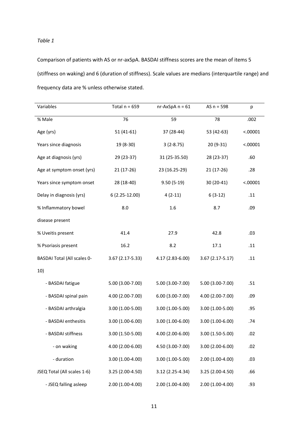#### *Table 1*

Comparison of patients with AS or nr-axSpA. BASDAI stiffness scores are the mean of items 5 (stiffness on waking) and 6 (duration of stiffness). Scale values are medians (interquartile range) and frequency data are % unless otherwise stated.

| Variables                          | Total $n = 659$   | $nr-AxSpA n = 61$<br>$AS n = 598$ |                   | р        |
|------------------------------------|-------------------|-----------------------------------|-------------------|----------|
| % Male                             | 76                | 59                                | 78                |          |
| Age (yrs)                          | $51(41-61)$       | 37 (28-44)<br>53 (42-63)          |                   | < .00001 |
| Years since diagnosis              | $19(8-30)$        | $3(2-8.75)$                       | $20(9-31)$        |          |
| Age at diagnosis (yrs)             | 29 (23-37)        | 31 (25-35.50)                     | 28 (23-37)        | .60      |
| Age at symptom onset (yrs)         | $21(17-26)$       | 23 (16.25-29)                     | $21(17-26)$       | .28      |
| Years since symptom onset          | 28 (18-40)        | $9.50(5-19)$                      | 30 (20-41)        | < .00001 |
| Delay in diagnosis (yrs)           | $6(2.25-12.00)$   | $4(2-11)$                         | $6(3-12)$         | .11      |
| % Inflammatory bowel               | 8.0               | 1.6                               | 8.7               | .09      |
| disease present                    |                   |                                   |                   |          |
| % Uveitis present                  | 41.4              | 27.9                              | 42.8              | .03      |
| % Psoriasis present                | 16.2              | 8.2                               | 17.1              | .11      |
| <b>BASDAI Total (All scales 0-</b> | $3.67(2.17-5.33)$ | 4.17 (2.83-6.00)                  | $3.67(2.17-5.17)$ | .11      |
| 10)                                |                   |                                   |                   |          |
| - BASDAI fatigue                   | 5.00 (3.00-7.00)  | 5.00 (3.00-7.00)                  | 5.00 (3.00-7.00)  | .51      |
| - BASDAI spinal pain               | 4.00 (2.00-7.00)  | 6.00 (3.00-7.00)                  | 4.00 (2.00-7.00)  | .09      |
| - BASDAI arthralgia                | 3.00 (1.00-5.00)  | $3.00(1.00-5.00)$                 | 3.00 (1.00-5.00)  | .95      |
| - BASDAI enthesitis                | 3.00 (1.00-6.00)  | $3.00(1.00-6.00)$                 | $3.00(1.00-6.00)$ | .74      |
| - BASDAI stiffness                 | 3.00 (1.50-5.00)  | 4.00 (2.00-6.00)                  | 3.00 (1.50-5.00)  | .02      |
| - on waking                        | 4.00 (2.00-6.00)  | 4.50 (3.00-7.00)                  | 3.00 (2.00-6.00)  | .02      |
| - duration                         | 3.00 (1.00-4.00)  | 3.00 (1.00-5.00)                  | 2.00 (1.00-4.00)  | .03      |
| JSEQ Total (All scales 1-6)        | 3.25 (2.00-4.50)  | 3.12 (2.25-4.34)                  | 3.25 (2.00-4.50)  | .66      |
| - JSEQ falling asleep              | 2.00 (1.00-4.00)  | 2.00 (1.00-4.00)                  | 2.00 (1.00-4.00)  | .93      |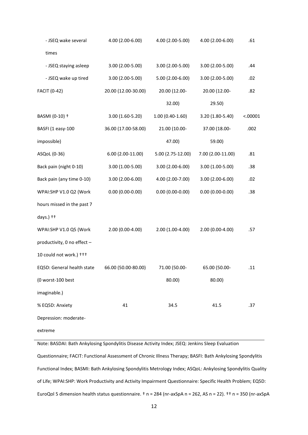| - JSEQ wake several         | 4.00 (2.00-6.00)    | 4.00 (2.00-5.00)<br>4.00 (2.00-6.00) |                   | .61      |  |
|-----------------------------|---------------------|--------------------------------------|-------------------|----------|--|
| times                       |                     |                                      |                   |          |  |
| - JSEQ staying asleep       | 3.00 (2.00-5.00)    | 3.00 (2.00-5.00)                     | 3.00 (2.00-5.00)  | .44      |  |
| - JSEQ wake up tired        | 3.00 (2.00-5.00)    | 5.00 (2.00-6.00)                     | 3.00 (2.00-5.00)  | .02      |  |
| <b>FACIT (0-42)</b>         | 20.00 (12.00-30.00) | 20.00 (12.00-                        | 20.00 (12.00-     | .82      |  |
|                             |                     | 32.00)                               | 29.50)            |          |  |
| BASMI (0-10) +              | 3.00 (1.60-5.20)    | $1.00(0.40-1.60)$                    | 3.20 (1.80-5.40)  | < .00001 |  |
| BASFI (1 easy-100           | 36.00 (17.00-58.00) | 21.00 (10.00-                        | 37.00 (18.00-     | .002     |  |
| impossible)                 |                     | 47.00)                               | 59.00)            |          |  |
| ASQoL (0-36)                | $6.00(2.00-11.00)$  | 5.00 (2.75-12.00)                    | 7.00 (2.00-11.00) | .81      |  |
| Back pain (night 0-10)      | 3.00 (1.00-5.00)    | 3.00 (2.00-6.00)                     | 3.00 (1.00-5.00)  | .38      |  |
| Back pain (any time 0-10)   | 3.00 (2.00-6.00)    | 4.00 (2.00-7.00)                     | 3.00 (2.00-6.00)  | .02      |  |
| WPAI:SHP V1.0 Q2 (Work      | $0.00(0.00-0.00)$   | $0.00(0.00-0.00)$                    | $0.00(0.00-0.00)$ | .38      |  |
| hours missed in the past 7  |                     |                                      |                   |          |  |
| days.) ++                   |                     |                                      |                   |          |  |
| WPAI:SHP V1.0 Q5 (Work      | 2.00 (0.00-4.00)    | 2.00 (1.00-4.00)                     | 2.00 (0.00-4.00)  | .57      |  |
| productivity, 0 no effect - |                     |                                      |                   |          |  |
| 10 could not work.) +++     |                     |                                      |                   |          |  |
| EQ5D: General health state  | 66.00 (50.00-80.00) | 71.00 (50.00-                        | 65.00 (50.00-     | .11      |  |
| (0 worst-100 best           |                     | 80.00)                               | 80.00)            |          |  |
| imaginable.)                |                     |                                      |                   |          |  |
| % EQ5D: Anxiety             | 41                  | 34.5                                 | 41.5              | .37      |  |
| Depression: moderate-       |                     |                                      |                   |          |  |
| extreme                     |                     |                                      |                   |          |  |

Note: BASDAI: Bath Ankylosing Spondylitis Disease Activity Index; JSEQ: Jenkins Sleep Evaluation Questionnaire; FACIT: Functional Assessment of Chronic Illness Therapy; BASFI: Bath Ankylosing Spondylitis Functional Index; BASMI: Bath Ankylosing Spondylitis Metrology Index; ASQoL: Ankylosing Spondylitis Quality of Life; WPAI:SHP: Work Productivity and Activity Impairment Questionnaire: Specific Health Problem; EQ5D: EuroQol 5 dimension health status questionnaire. † n = 284 (nr-axSpA n = 262, AS n = 22). †† n = 350 (nr-axSpA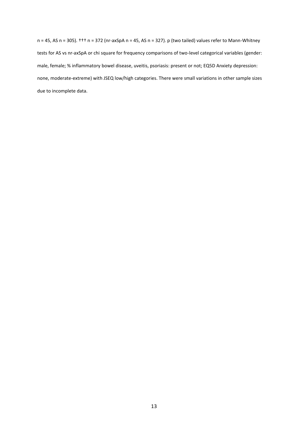n = 45, AS n = 305). ††† n = 372 (nr-axSpA n = 45, AS n = 327). p (two tailed) values refer to Mann-Whitney tests for AS vs nr-axSpA or chi square for frequency comparisons of two-level categorical variables (gender: male, female; % inflammatory bowel disease, uveitis, psoriasis: present or not; EQ5D Anxiety depression: none, moderate-extreme) with JSEQ low/high categories. There were small variations in other sample sizes due to incomplete data.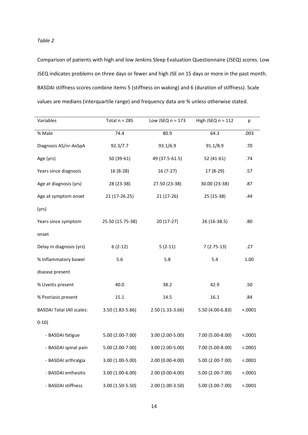*Table 2*

Comparison of patients with high and low Jenkins Sleep Evaluation Questionnaire (JSEQ) scores. Low JSEQ indicates problems on three days or fewer and high JSE on 15 days or more in the past month. BASDAI stiffness scores combine items 5 (stiffness on waking) and 6 (duration of stiffness). Scale values are medians (interquartile range) and frequency data are % unless otherwise stated.

| Variables                        | Total $n = 285$   | Low JSEQ $n = 173$                    | High JSEQ $n = 112$ | p        |
|----------------------------------|-------------------|---------------------------------------|---------------------|----------|
| % Male                           | 74.4              | 80.9                                  | 64.3                | .003     |
| Diagnosis AS/nr-AxSpA            | 92.3/7.7          | 93.1/6.9                              | 91.1/8.9            | .70      |
| Age (yrs)                        | $50(39-61)$       | 49 (37.5-61.5)                        | $52(41-61)$         | .74      |
| Years since diagnosis            | $16(8-28)$        | $16(7-27)$                            | 17 (8-29)           | .57      |
| Age at diagnosis (yrs)           | 28 (23-38)        | 27.50 (23-38)                         | 30.00 (23-38)       | .87      |
| Age at symptom onset             | 21 (17-26.25)     | $21(17-26)$                           | 25 (15-38)          | .44      |
| (yrs)                            |                   |                                       |                     |          |
| Years since symptom              | 25.50 (15.75-38)  | $20(17-27)$                           | 26 (16-38.5)        | .80      |
| onset                            |                   |                                       |                     |          |
| Delay in diagnosis (yrs)         | $6(2-12)$         | $5(2-11)$<br>$7(2.75-13)$             |                     | .27      |
| % Inflammatory bowel             | 5.6               | 5.8<br>5.4                            |                     | 1.00     |
| disease present                  |                   |                                       |                     |          |
| % Uveitis present                | 40.0              | 38.2                                  | 42.9                | .50      |
| % Psoriasis present              | 15.1              | 14.5                                  | 16.1                | .84      |
| <b>BASDAI Total (All scales:</b> | $3.50(1.83-5.66)$ | $2.50(1.33-3.66)$<br>5.50 (4.00-6.83) |                     | < .0001  |
| $0-10)$                          |                   |                                       |                     |          |
| - BASDAI fatigue                 | 5.00 (2.00-7.00)  | $3.00(2.00-5.00)$                     | 7.00 (5.00-8.00)    | < .0001  |
| - BASDAI spinal pain             | 5.00 (2.00-7.00)  | 3.00 (2.00-5.00)                      | 7.00 (5.00-8.00)    | < 0.0001 |
| - BASDAI arthralgia              | 3.00 (1.00-5.00)  | 2.00 (0.00-4.00)                      | 5.00 (2.00-7.00)    | < .0001  |
| - BASDAI enthesitis              | 3.00 (1.00-6.00)  | 2.00 (0.00-4.00)                      | 5.00 (2.00-7.00)    | < .0001  |
| - BASDAI stiffness               | 3.00 (1.50-5.50)  | 2.00 (1.00-3.50)                      | 5.00 (3.00-7.00)    | < .0001  |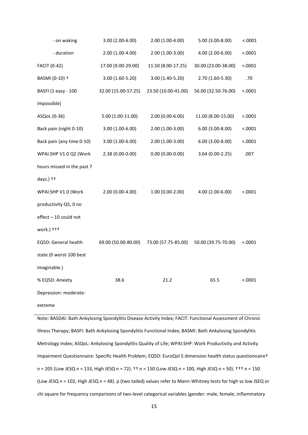| - on waking                | 3.00 (2.00-6.00)    | 2.00 (1.00-4.00)    | 5.00 (3.00-8.00)    | < .0001 |
|----------------------------|---------------------|---------------------|---------------------|---------|
| - duration                 | 2.00 (1.00-4.00)    | $2.00(1.00-3.00)$   | 4.00 (2.00-6.00)    | < .0001 |
| <b>FACIT (0-42)</b>        | 17.00 (9.00-29.00)  | 11.50 (8.00-17.25)  | 30.00 (23.00-38.00) | < .0001 |
| BASMI (0-10) +             | 3.00 (1.60-5.20)    | 3.00 (1.40-5.20)    | 2.70 (1.60-5.30)    | .70     |
| BASFI (1 easy - 100        | 32.00 (15.00-57.25) | 23.50 (10.00-41.00) | 56.00 (32.50-76.00) | < .0001 |
| impossible)                |                     |                     |                     |         |
| ASQoL (0-36)               | 5.00 (1.00-11.00)   | 2.00 (0.00-6.00)    | 11.00 (8.00-15.00)  | < .0001 |
| Back pain (night 0-10)     | 3.00 (1.00-6.00)    | 2.00 (1.00-3.00)    | $6.00(3.00-8.00)$   | < .0001 |
| Back pain (any time 0-10)  | 3.00 (1.00-6.00)    | 2.00 (1.00-3.00)    | $6.00(3.00-8.00)$   | < .0001 |
| WPAI:SHP V1.0 Q2 (Work     | 2.38 (0.00-0.00)    | $0.00(0.00-0.00)$   | 3.64 (0.00-2.25)    | .007    |
| hours missed in the past 7 |                     |                     |                     |         |
| days.) $++$                |                     |                     |                     |         |
| WPAI:SHP V1.0 (Work        | 2.00 (0.00-4.00)    | $1.00(0.00-2.00)$   | 4.00 (2.00-6.00)    | < .0001 |
| productivity Q5, 0 no      |                     |                     |                     |         |
| effect - 10 could not      |                     |                     |                     |         |
| work.) +++                 |                     |                     |                     |         |
| EQ5D: General health       | 69.00 (50.00-80.00) | 73.00 (57.75-85.00) | 50.00 (39.75-70.00) | < .0001 |
| state (0 worst-100 best    |                     |                     |                     |         |
| imaginable.)               |                     |                     |                     |         |
| % EQ5D: Anxiety            | 38.6                | 21.2                | 65.5                | < .0001 |
| Depression: moderate-      |                     |                     |                     |         |
|                            |                     |                     |                     |         |

extreme

Note: BASDAI: Bath Ankylosing Spondylitis Disease Activity Index; FACIT: Functional Assessment of Chronic Illness Therapy; BASFI: Bath Ankylosing Spondylitis Functional Index; BASMI: Bath Ankylosing Spondylitis Metrology Index; ASQoL: Ankylosing Spondylitis Quality of Life; WPAI:SHP: Work Productivity and Activity Impairment Questionnaire: Specific Health Problem; EQ5D: EuroQol 5 dimension health status questionnaire† n = 205 (Low JESQ n = 133, High JESQ n = 72). †† n = 150 (Low JESQ n = 100, High JESQ n = 50). ††† n = 150 (Low JESQ n = 102, High JESQ n = 48). p (two tailed) values refer to Mann-Whitney tests for high vs low JSEQ or chi square for frequency comparisons of two-level categorical variables (gender: male, female; inflammatory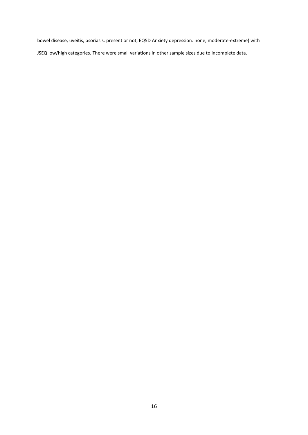bowel disease, uveitis, psoriasis: present or not; EQ5D Anxiety depression: none, moderate-extreme) with JSEQ low/high categories. There were small variations in other sample sizes due to incomplete data.